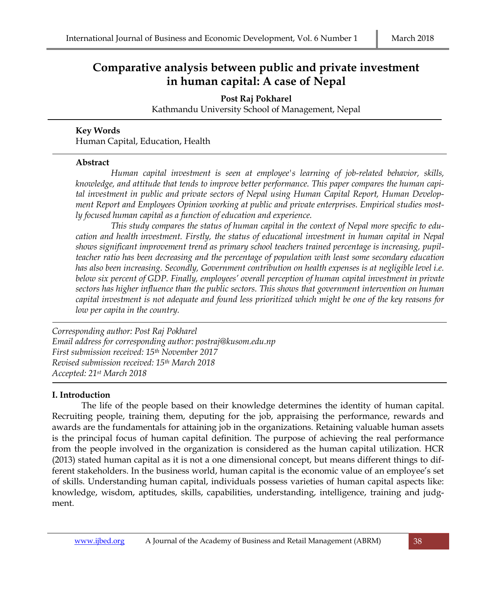# **Comparative analysis between public and private investment in human capital: A case of Nepal**

**Post Raj Pokharel**

Kathmandu University School of Management, Nepal

#### **Key Words**

Human Capital, Education, Health

#### **Abstract**

*Human capital investment is seen at employee's learning of job-related behavior, skills, knowledge, and attitude that tends to improve better performance. This paper compares the human capital investment in public and private sectors of Nepal using Human Capital Report, Human Development Report and Employees Opinion working at public and private enterprises. Empirical studies mostly focused human capital as a function of education and experience.* 

*This study compares the status of human capital in the context of Nepal more specific to education and health investment. Firstly, the status of educational investment in human capital in Nepal shows significant improvement trend as primary school teachers trained percentage is increasing, pupilteacher ratio has been decreasing and the percentage of population with least some secondary education has also been increasing. Secondly, Government contribution on health expenses is at negligible level i.e. below six percent of GDP. Finally, employees' overall perception of human capital investment in private sectors has higher influence than the public sectors. This shows that government intervention on human capital investment is not adequate and found less prioritized which might be one of the key reasons for low per capita in the country.*

*Corresponding author: Post Raj Pokharel Email address for corresponding author: postraj@kusom.edu.np First submission received: 15th November 2017 Revised submission received: 15th March 2018 Accepted: 21st March 2018*

## **I. Introduction**

The life of the people based on their knowledge determines the identity of human capital. Recruiting people, training them, deputing for the job, appraising the performance, rewards and awards are the fundamentals for attaining job in the organizations. Retaining valuable human assets is the principal focus of human capital definition. The purpose of achieving the real performance from the people involved in the organization is considered as the human capital utilization. HCR (2013) stated human capital as it is not a one dimensional concept, but means different things to different stakeholders. In the business world, human capital is the economic value of an employee's set of skills. Understanding human capital, individuals possess varieties of human capital aspects like: knowledge, wisdom, aptitudes, skills, capabilities, understanding, intelligence, training and judgment.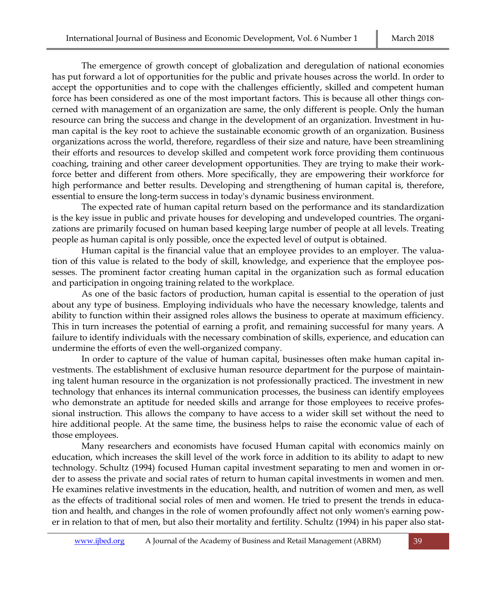The emergence of growth concept of globalization and deregulation of national economies has put forward a lot of opportunities for the public and private houses across the world. In order to accept the opportunities and to cope with the challenges efficiently, skilled and competent human force has been considered as one of the most important factors. This is because all other things concerned with management of an organization are same, the only different is people. Only the human resource can bring the success and change in the development of an organization. Investment in human capital is the key root to achieve the sustainable economic growth of an organization. Business organizations across the world, therefore, regardless of their size and nature, have been streamlining their efforts and resources to develop skilled and competent work force providing them continuous coaching, training and other career development opportunities. They are trying to make their workforce better and different from others. More specifically, they are empowering their workforce for high performance and better results. Developing and strengthening of human capital is, therefore, essential to ensure the long-term success in today's dynamic business environment.

The expected rate of human capital return based on the performance and its standardization is the key issue in public and private houses for developing and undeveloped countries. The organizations are primarily focused on human based keeping large number of people at all levels. Treating people as human capital is only possible, once the expected level of output is obtained.

Human capital is the financial value that an employee provides to an employer. The valuation of this value is related to the body of skill, knowledge, and experience that the employee possesses. The prominent factor creating human capital in the organization such as formal education and participation in ongoing training related to the workplace.

As one of the basic factors of production, human capital is essential to the operation of just about any type of business. Employing individuals who have the necessary knowledge, talents and ability to function within their assigned roles allows the business to operate at maximum efficiency. This in turn increases the potential of earning a profit, and remaining successful for many years. A failure to identify individuals with the necessary combination of skills, experience, and education can undermine the efforts of even the well-organized company.

In order to capture of the value of human capital, businesses often make human capital investments. The establishment of exclusive human resource department for the purpose of maintaining talent human resource in the organization is not professionally practiced. The investment in new technology that enhances its internal communication processes, the business can identify employees who demonstrate an aptitude for needed skills and arrange for those employees to receive professional instruction. This allows the company to have access to a wider skill set without the need to hire additional people. At the same time, the business helps to raise the economic value of each of those employees.

Many researchers and economists have focused Human capital with economics mainly on education, which increases the skill level of the work force in addition to its ability to adapt to new technology. Schultz (1994) focused Human capital investment separating to men and women in order to assess the private and social rates of return to human capital investments in women and men. He examines relative investments in the education, health, and nutrition of women and men, as well as the effects of traditional social roles of men and women. He tried to present the trends in education and health, and changes in the role of women profoundly affect not only women's earning power in relation to that of men, but also their mortality and fertility. Schultz (1994) in his paper also stat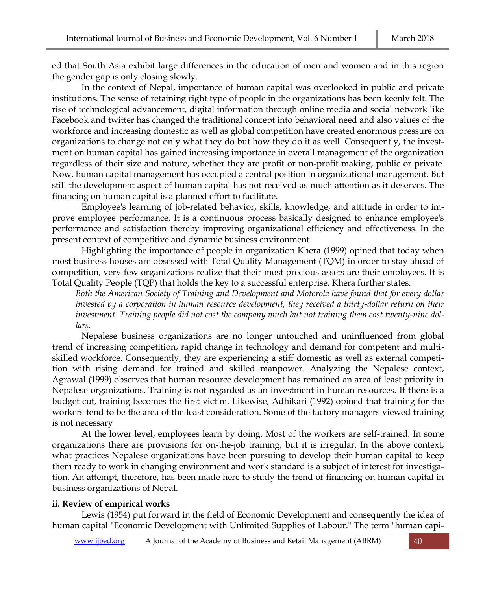ed that South Asia exhibit large differences in the education of men and women and in this region the gender gap is only closing slowly.

In the context of Nepal, importance of human capital was overlooked in public and private institutions. The sense of retaining right type of people in the organizations has been keenly felt. The rise of technological advancement, digital information through online media and social network like Facebook and twitter has changed the traditional concept into behavioral need and also values of the workforce and increasing domestic as well as global competition have created enormous pressure on organizations to change not only what they do but how they do it as well. Consequently, the investment on human capital has gained increasing importance in overall management of the organization regardless of their size and nature, whether they are profit or non-profit making, public or private. Now, human capital management has occupied a central position in organizational management. But still the development aspect of human capital has not received as much attention as it deserves. The financing on human capital is a planned effort to facilitate.

Employee's learning of job-related behavior, skills, knowledge, and attitude in order to improve employee performance. It is a continuous process basically designed to enhance employee's performance and satisfaction thereby improving organizational efficiency and effectiveness. In the present context of competitive and dynamic business environment

Highlighting the importance of people in organization Khera (1999) opined that today when most business houses are obsessed with Total Quality Management (TQM) in order to stay ahead of competition, very few organizations realize that their most precious assets are their employees. It is Total Quality People (TQP) that holds the key to a successful enterprise. Khera further states:

*Both the American Society of Training and Development and Motorola have found that for every dollar invested by a corporation in human resource development, they received a thirty-dollar return on their investment. Training people did not cost the company much but not training them cost twenty-nine dollars.*

Nepalese business organizations are no longer untouched and uninfluenced from global trend of increasing competition, rapid change in technology and demand for competent and multiskilled workforce. Consequently, they are experiencing a stiff domestic as well as external competition with rising demand for trained and skilled manpower. Analyzing the Nepalese context, Agrawal (1999) observes that human resource development has remained an area of least priority in Nepalese organizations. Training is not regarded as an investment in human resources. If there is a budget cut, training becomes the first victim. Likewise, Adhikari (1992) opined that training for the workers tend to be the area of the least consideration. Some of the factory managers viewed training is not necessary

At the lower level, employees learn by doing. Most of the workers are self-trained. In some organizations there are provisions for on-the-job training, but it is irregular. In the above context, what practices Nepalese organizations have been pursuing to develop their human capital to keep them ready to work in changing environment and work standard is a subject of interest for investigation. An attempt, therefore, has been made here to study the trend of financing on human capital in business organizations of Nepal.

# **ii. Review of empirical works**

Lewis (1954) put forward in the field of Economic Development and consequently the idea of human capital "Economic Development with Unlimited Supplies of Labour." The term "human capi-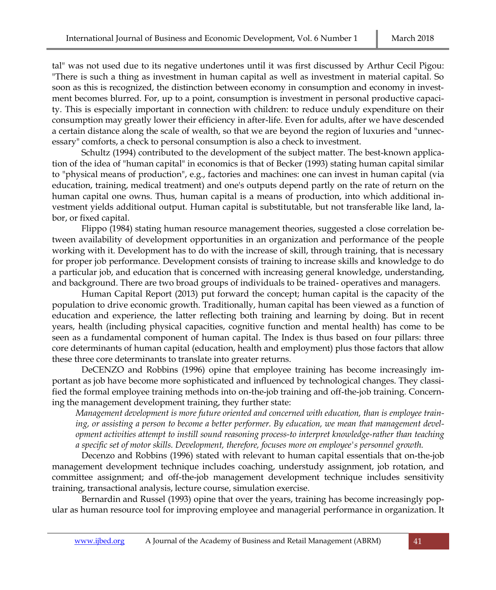tal" was not used due to its negative undertones until it was first discussed by Arthur Cecil Pigou: "There is such a thing as investment in human capital as well as investment in material capital. So soon as this is recognized, the distinction between economy in consumption and economy in investment becomes blurred. For, up to a point, consumption is investment in personal productive capacity. This is especially important in connection with children: to reduce unduly expenditure on their consumption may greatly lower their efficiency in after-life. Even for adults, after we have descended a certain distance along the scale of wealth, so that we are beyond the region of luxuries and "unnecessary" comforts, a check to personal consumption is also a check to investment.

Schultz (1994) contributed to the development of the subject matter. The best-known application of the idea of "human capital" in economics is that of Becker (1993) stating human capital similar to "physical means of production", e.g., factories and machines: one can invest in human capital (via education, training, medical treatment) and one's outputs depend partly on the rate of return on the human capital one owns. Thus, human capital is a means of production, into which additional investment yields additional output. Human capital is substitutable, but not transferable like land, labor, or fixed capital.

Flippo (1984) stating human resource management theories, suggested a close correlation between availability of development opportunities in an organization and performance of the people working with it. Development has to do with the increase of skill, through training, that is necessary for proper job performance. Development consists of training to increase skills and knowledge to do a particular job, and education that is concerned with increasing general knowledge, understanding, and background. There are two broad groups of individuals to be trained- operatives and managers.

Human Capital Report (2013) put forward the concept; human capital is the capacity of the population to drive economic growth. Traditionally, human capital has been viewed as a function of education and experience, the latter reflecting both training and learning by doing. But in recent years, health (including physical capacities, cognitive function and mental health) has come to be seen as a fundamental component of human capital. The Index is thus based on four pillars: three core determinants of human capital (education, health and employment) plus those factors that allow these three core determinants to translate into greater returns.

DeCENZO and Robbins (1996) opine that employee training has become increasingly important as job have become more sophisticated and influenced by technological changes. They classified the formal employee training methods into on-the-job training and off-the-job training. Concerning the management development training, they further state:

*Management development is more future oriented and concerned with education, than is employee training, or assisting a person to become a better performer. By education, we mean that management development activities attempt to instill sound reasoning process-to interpret knowledge-rather than teaching a specific set of motor skills. Development, therefore, focuses more on employee's personnel growth.*

Decenzo and Robbins (1996) stated with relevant to human capital essentials that on-the-job management development technique includes coaching, understudy assignment, job rotation, and committee assignment; and off-the-job management development technique includes sensitivity training, transactional analysis, lecture course, simulation exercise.

Bernardin and Russel (1993) opine that over the years, training has become increasingly popular as human resource tool for improving employee and managerial performance in organization. It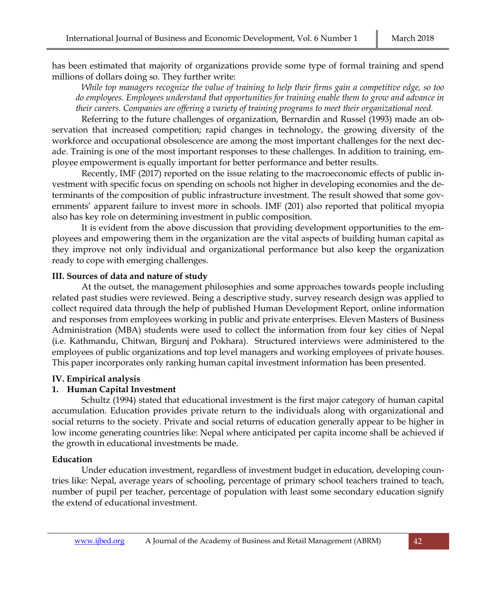has been estimated that majority of organizations provide some type of formal training and spend millions of dollars doing so. They further write:

*While top managers recognize the value of training to help their firms gain a competitive edge, so too do employees. Employees understand that opportunities for training enable them to grow and advance in their careers. Companies are offering a variety of training programs to meet their organizational need.*

Referring to the future challenges of organization, Bernardin and Russel (1993) made an observation that increased competition; rapid changes in technology, the growing diversity of the workforce and occupational obsolescence are among the most important challenges for the next decade. Training is one of the most important responses to these challenges. In addition to training, employee empowerment is equally important for better performance and better results.

Recently, IMF (2017) reported on the issue relating to the macroeconomic effects of public investment with specific focus on spending on schools not higher in developing economies and the determinants of the composition of public infrastructure investment. The result showed that some governments' apparent failure to invest more in schools. IMF (201) also reported that political myopia also has key role on determining investment in public composition.

It is evident from the above discussion that providing development opportunities to the employees and empowering them in the organization are the vital aspects of building human capital as they improve not only individual and organizational performance but also keep the organization ready to cope with emerging challenges.

## **III. Sources of data and nature of study**

At the outset, the management philosophies and some approaches towards people including related past studies were reviewed. Being a descriptive study, survey research design was applied to collect required data through the help of published Human Development Report, online information and responses from employees working in public and private enterprises. Eleven Masters of Business Administration (MBA) students were used to collect the information from four key cities of Nepal (i.e. Kathmandu, Chitwan, Birgunj and Pokhara). Structured interviews were administered to the employees of public organizations and top level managers and working employees of private houses. This paper incorporates only ranking human capital investment information has been presented.

# **IV. Empirical analysis**

# **1. Human Capital Investment**

Schultz (1994) stated that educational investment is the first major category of human capital accumulation. Education provides private return to the individuals along with organizational and social returns to the society. Private and social returns of education generally appear to be higher in low income generating countries like: Nepal where anticipated per capita income shall be achieved if the growth in educational investments be made.

# **Education**

Under education investment, regardless of investment budget in education, developing countries like: Nepal, average years of schooling, percentage of primary school teachers trained to teach, number of pupil per teacher, percentage of population with least some secondary education signify the extend of educational investment.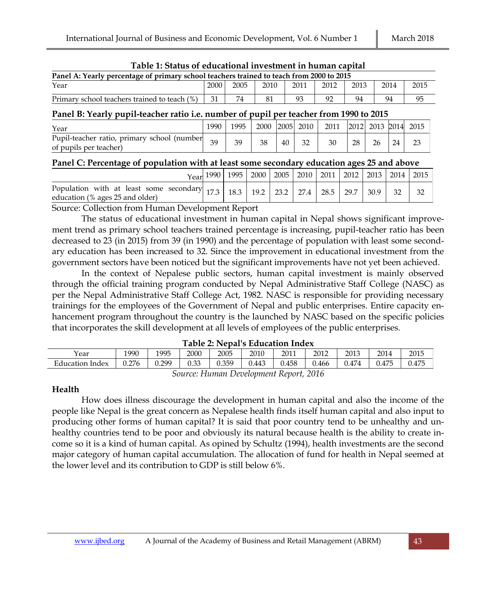| Table 1. Status of educational investment in human capital                               |        |        |        |        |           |        |        |                     |               |        |  |
|------------------------------------------------------------------------------------------|--------|--------|--------|--------|-----------|--------|--------|---------------------|---------------|--------|--|
| Panel A: Yearly percentage of primary school teachers trained to teach from 2000 to 2015 |        |        |        |        |           |        |        |                     |               |        |  |
| Year                                                                                     | 2000   | 2005   | 2010   |        | 2011      | 2012   | 2013   |                     | 2014          | 2015   |  |
| Primary school teachers trained to teach (%)                                             | 31     | 74     | 81     |        | 93        | 92     | 94     |                     | 94            | 95     |  |
| Panel B: Yearly pupil-teacher ratio i.e. number of pupil per teacher from 1990 to 2015   |        |        |        |        |           |        |        |                     |               |        |  |
| Year                                                                                     | 1990   | 1995   | 2000   |        | 2005 2010 | 2011   |        | 2012 2013 2014 2015 |               |        |  |
| Pupil-teacher ratio, primary school (number                                              | $\sim$ | $\sim$ | $\sim$ | $\sim$ | $\sim$    | $\sim$ | $\sim$ | $\sim$              | $\sim$ $\sim$ | $\sim$ |  |

#### **Table 1: Status of educational investment in human capital**

## **Panel C: Percentage of population with at least some secondary education ages 25 and above**

of pupils per teacher) <sup>39</sup> <sup>39</sup> <sup>38</sup> <sup>40</sup> <sup>32</sup> <sup>30</sup> <sup>28</sup> <sup>26</sup> <sup>24</sup> <sup>23</sup>

|                                                                                                                    |  | Year 1990   1995   2000   2005   2010   2011   2012   2013   2014   2015 |  |  |      |  |
|--------------------------------------------------------------------------------------------------------------------|--|--------------------------------------------------------------------------|--|--|------|--|
| Population with at least some secondary 17.3 18.3 19.2 23.2 27.4 28.5 29.7 30.9<br>education (% ages 25 and older) |  |                                                                          |  |  | - 32 |  |
| $\sim$ 11 $\cdot$<br>$\sim$                                                                                        |  |                                                                          |  |  |      |  |

Source: Collection from Human Development Report

The status of educational investment in human capital in Nepal shows significant improvement trend as primary school teachers trained percentage is increasing, pupil-teacher ratio has been decreased to 23 (in 2015) from 39 (in 1990) and the percentage of population with least some secondary education has been increased to 32. Since the improvement in educational investment from the government sectors have been noticed but the significant improvements have not yet been achieved.

In the context of Nepalese public sectors, human capital investment is mainly observed through the official training program conducted by Nepal Administrative Staff College (NASC) as per the Nepal Administrative Staff College Act, 1982. NASC is responsible for providing necessary trainings for the employees of the Government of Nepal and public enterprises. Entire capacity enhancement program throughout the country is the launched by NASC based on the specific policies that incorporates the skill development at all levels of employees of the public enterprises.

| Year               | 1990  | 1995   | 2000                                   | 2005  | 2010  | 2011  | 2012  | 2013  | 2014  | 2015         |
|--------------------|-------|--------|----------------------------------------|-------|-------|-------|-------|-------|-------|--------------|
| Education<br>Index | 0.276 | J.299  | $\cap$ $\cap$<br>$\sim$ $\sim$<br>U.JJ | 0.359 | 0.443 | 0.458 | 0.466 | 0.474 | 0.475 | <b>J.475</b> |
|                    |       | $\sim$ | $ -$                                   | -     |       |       | .     |       |       |              |

#### **Table 2: Nepal's Education Index**

## **Health**

How does illness discourage the development in human capital and also the income of the people like Nepal is the great concern as Nepalese health finds itself human capital and also input to producing other forms of human capital? It is said that poor country tend to be unhealthy and unhealthy countries tend to be poor and obviously its natural because health is the ability to create income so it is a kind of human capital. As opined by Schultz (1994), health investments are the second major category of human capital accumulation. The allocation of fund for health in Nepal seemed at the lower level and its contribution to GDP is still below 6%.

*Source: Human Development Report, 2016*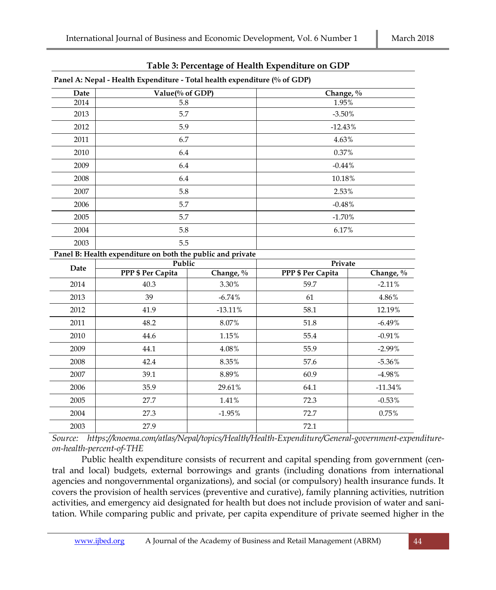| Panel A: Nepal - Health Expenditure - Total health expenditure (% of GDP) |                                                            |           |  |  |  |  |  |  |  |
|---------------------------------------------------------------------------|------------------------------------------------------------|-----------|--|--|--|--|--|--|--|
| Date                                                                      | Value(% of GDP)                                            | Change, % |  |  |  |  |  |  |  |
| 2014                                                                      | 5.8                                                        | 1.95%     |  |  |  |  |  |  |  |
| 2013                                                                      | 5.7                                                        | $-3.50\%$ |  |  |  |  |  |  |  |
| 2012                                                                      | 5.9                                                        | $-12.43%$ |  |  |  |  |  |  |  |
| 2011                                                                      | 6.7                                                        | 4.63%     |  |  |  |  |  |  |  |
| 2010                                                                      | 6.4                                                        | 0.37%     |  |  |  |  |  |  |  |
| 2009                                                                      | 6.4                                                        | $-0.44%$  |  |  |  |  |  |  |  |
| 2008                                                                      | 6.4                                                        | 10.18%    |  |  |  |  |  |  |  |
| 2007                                                                      | 5.8                                                        | 2.53%     |  |  |  |  |  |  |  |
| 2006                                                                      | 5.7                                                        | $-0.48%$  |  |  |  |  |  |  |  |
| 2005                                                                      | 5.7                                                        | $-1.70\%$ |  |  |  |  |  |  |  |
| 2004                                                                      | 5.8                                                        | 6.17%     |  |  |  |  |  |  |  |
| 2003                                                                      | 5.5                                                        |           |  |  |  |  |  |  |  |
|                                                                           | Panel B: Health expenditure on both the public and private |           |  |  |  |  |  |  |  |
| Date                                                                      | Public                                                     | Private   |  |  |  |  |  |  |  |

#### **Table 3: Percentage of Health Expenditure on GDP**

| Date | Public            |           | Private           |           |
|------|-------------------|-----------|-------------------|-----------|
|      | PPP \$ Per Capita | Change, % | PPP \$ Per Capita | Change, % |
| 2014 | 40.3              | 3.30%     | 59.7              | $-2.11%$  |
| 2013 | 39                | $-6.74%$  | 61                | 4.86%     |
| 2012 | 41.9              | $-13.11%$ | 58.1              | 12.19%    |
| 2011 | 48.2              | 8.07%     | 51.8              | $-6.49%$  |
| 2010 | 44.6              | 1.15%     | 55.4              | $-0.91%$  |
| 2009 | 44.1              | 4.08%     | 55.9              | $-2.99%$  |
| 2008 | 42.4              | 8.35%     | 57.6              | $-5.36%$  |
| 2007 | 39.1              | 8.89%     | 60.9              | $-4.98%$  |
| 2006 | 35.9              | 29.61%    | 64.1              | $-11.34%$ |
| 2005 | 27.7              | 1.41%     | 72.3              | $-0.53\%$ |
| 2004 | 27.3              | $-1.95%$  | 72.7              | 0.75%     |
| 2003 | 27.9              |           | 72.1              |           |

*Source: https://knoema.com/atlas/Nepal/topics/Health/Health-Expenditure/General-government-expenditureon-health-percent-of-THE*

Public health expenditure consists of recurrent and capital spending from government (central and local) budgets, external borrowings and grants (including donations from international agencies and nongovernmental organizations), and social (or compulsory) health insurance funds. It covers the provision of health services (preventive and curative), family planning activities, nutrition activities, and emergency aid designated for health but does not include provision of water and sanitation. While comparing public and private, per capita expenditure of private seemed higher in the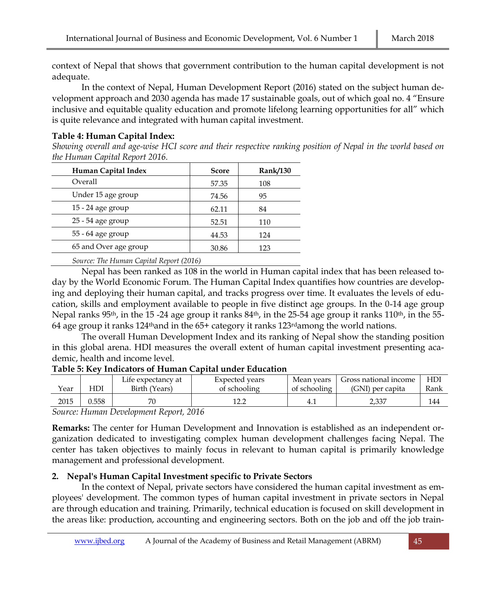context of Nepal that shows that government contribution to the human capital development is not adequate.

In the context of Nepal, Human Development Report (2016) stated on the subject human development approach and 2030 agenda has made 17 sustainable goals, out of which goal no. 4 "Ensure inclusive and equitable quality education and promote lifelong learning opportunities for all" which is quite relevance and integrated with human capital investment.

## **Table 4: Human Capital Index:**

*Showing overall and age-wise HCI score and their respective ranking position of Nepal in the world based on the Human Capital Report 2016.*

| Human Capital Index   | <b>Score</b> | <b>Rank/130</b> |
|-----------------------|--------------|-----------------|
| Overall               | 57.35        | 108             |
| Under 15 age group    | 74.56        | 95              |
| 15 - 24 age group     | 62.11        | 84              |
| 25 - 54 age group     | 52.51        | 110             |
| 55 - 64 age group     | 44.53        | 124             |
| 65 and Over age group | 30.86        | 123             |

*Source: The Human Capital Report (2016)*

Nepal has been ranked as 108 in the world in Human capital index that has been released today by the World Economic Forum. The Human Capital Index quantifies how countries are developing and deploying their human capital, and tracks progress over time. It evaluates the levels of education, skills and employment available to people in five distinct age groups. In the 0-14 age group Nepal ranks 95<sup>th</sup>, in the 15 -24 age group it ranks 84<sup>th</sup>, in the 25-54 age group it ranks 110<sup>th</sup>, in the 55-64 age group it ranks  $124<sup>th</sup>$  and in the 65+ category it ranks  $123<sup>rd</sup>$  among the world nations.

The overall Human Development Index and its ranking of Nepal show the standing position in this global arena. HDI measures the overall extent of human capital investment presenting academic, health and income level.

## **Table 5: Key Indicators of Human Capital under Education**

|      |       | Life expectancy at | Expected years | Mean vears   | Gross national income | HD   |
|------|-------|--------------------|----------------|--------------|-----------------------|------|
| Year | -IDI  | Birth (Years)      | of schooling   | of schooling | (GNI) per capita      | Rank |
| 2015 | 0.558 |                    |                | 4.1          | 2.337                 | 144  |
|      |       |                    |                |              |                       |      |

*Source: Human Development Report, 2016*

**Remarks:** The center for Human Development and Innovation is established as an independent organization dedicated to investigating complex human development challenges facing Nepal. The center has taken objectives to mainly focus in relevant to human capital is primarily knowledge management and professional development.

# **2. Nepal's Human Capital Investment specific to Private Sectors**

In the context of Nepal, private sectors have considered the human capital investment as employees' development. The common types of human capital investment in private sectors in Nepal are through education and training. Primarily, technical education is focused on skill development in the areas like: production, accounting and engineering sectors. Both on the job and off the job train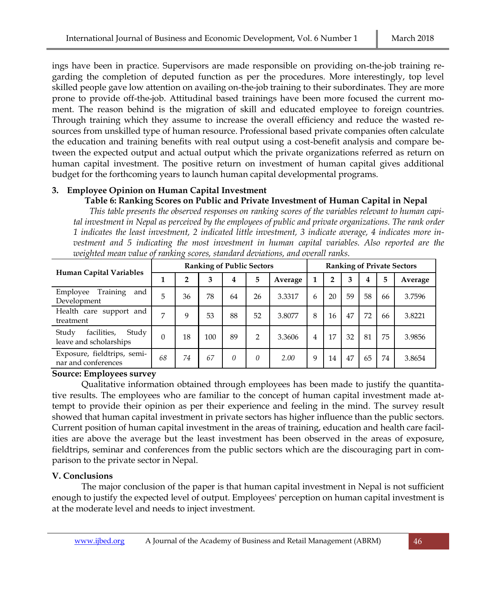ings have been in practice. Supervisors are made responsible on providing on-the-job training regarding the completion of deputed function as per the procedures. More interestingly, top level skilled people gave low attention on availing on-the-job training to their subordinates. They are more prone to provide off-the-job. Attitudinal based trainings have been more focused the current moment. The reason behind is the migration of skill and educated employee to foreign countries. Through training which they assume to increase the overall efficiency and reduce the wasted resources from unskilled type of human resource. Professional based private companies often calculate the education and training benefits with real output using a cost-benefit analysis and compare between the expected output and actual output which the private organizations referred as return on human capital investment. The positive return on investment of human capital gives additional budget for the forthcoming years to launch human capital developmental programs.

#### **3. Employee Opinion on Human Capital Investment Table 6: Ranking Scores on Public and Private Investment of Human Capital in Nepal**

*This table presents the observed responses on ranking scores of the variables relevant to human capital investment in Nepal as perceived by the employees of public and private organizations. The rank order 1 indicates the least investment, 2 indicated little investment, 3 indicate average, 4 indicates more investment and 5 indicating the most investment in human capital variables. Also reported are the weighted mean value of ranking scores, standard deviations, and overall ranks.* 

| Human Capital Variables                                 | <b>Ranking of Public Sectors</b> |                |     |          |               |         | <b>Ranking of Private Sectors</b> |                |    |    |    |         |
|---------------------------------------------------------|----------------------------------|----------------|-----|----------|---------------|---------|-----------------------------------|----------------|----|----|----|---------|
|                                                         |                                  | $\overline{2}$ | 3   | 4        | 5             | Average | 1                                 | $\overline{2}$ | 3  | 4  | 5  | Average |
| Training<br>and<br>Employee<br>Development              | 5                                | 36             | 78  | 64       | 26            | 3.3317  | 6                                 | 20             | 59 | 58 | 66 | 3.7596  |
| Health care support and<br>treatment                    | 7                                | 9              | 53  | 88       | 52            | 3.8077  | 8                                 | 16             | 47 | 72 | 66 | 3.8221  |
| facilities,<br>Study<br>Study<br>leave and scholarships | $\Omega$                         | 18             | 100 | 89       | $\mathcal{P}$ | 3.3606  | 4                                 | 17             | 32 | 81 | 75 | 3.9856  |
| Exposure, fieldtrips, semi-<br>nar and conferences      | 68                               | 74             | 67  | $\theta$ | 0             | 2.00    | 9                                 | 14             | 47 | 65 | 74 | 3.8654  |

# **Source: Employees survey**

Qualitative information obtained through employees has been made to justify the quantitative results. The employees who are familiar to the concept of human capital investment made attempt to provide their opinion as per their experience and feeling in the mind. The survey result showed that human capital investment in private sectors has higher influence than the public sectors. Current position of human capital investment in the areas of training, education and health care facilities are above the average but the least investment has been observed in the areas of exposure, fieldtrips, seminar and conferences from the public sectors which are the discouraging part in comparison to the private sector in Nepal.

# **V. Conclusions**

The major conclusion of the paper is that human capital investment in Nepal is not sufficient enough to justify the expected level of output. Employees' perception on human capital investment is at the moderate level and needs to inject investment.